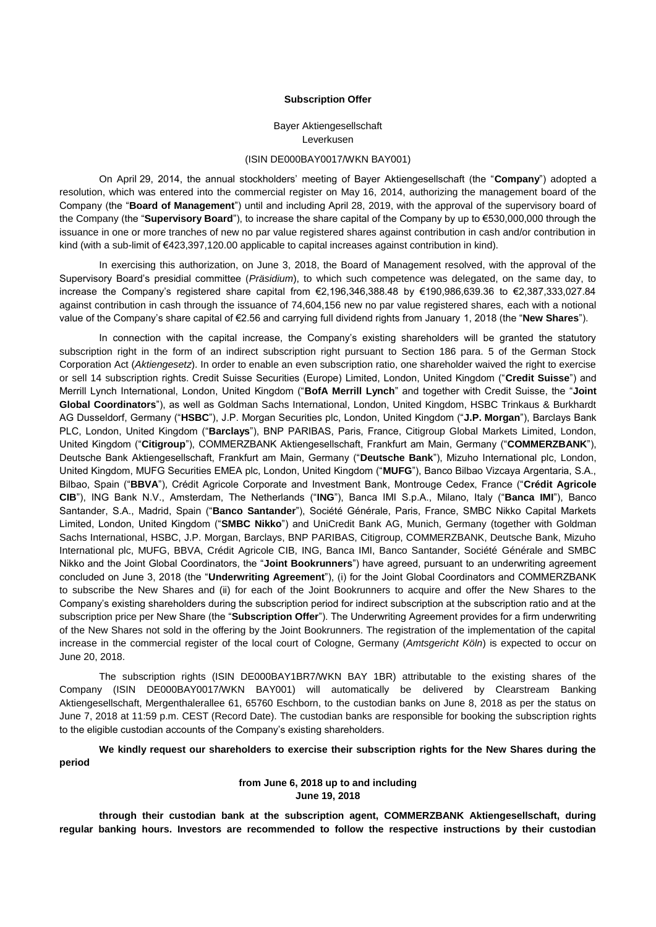### **Subscription Offer**

Bayer Aktiengesellschaft Leverkusen

# (ISIN DE000BAY0017/WKN BAY001)

On April 29, 2014, the annual stockholders' meeting of Bayer Aktiengesellschaft (the "**Company**") adopted a resolution, which was entered into the commercial register on May 16, 2014, authorizing the management board of the Company (the "**Board of Management**") until and including April 28, 2019, with the approval of the supervisory board of the Company (the "**Supervisory Board**"), to increase the share capital of the Company by up to €530,000,000 through the issuance in one or more tranches of new no par value registered shares against contribution in cash and/or contribution in kind (with a sub-limit of €423,397,120.00 applicable to capital increases against contribution in kind).

In exercising this authorization, on June 3, 2018, the Board of Management resolved, with the approval of the Supervisory Board's presidial committee (*Präsidium*), to which such competence was delegated, on the same day, to increase the Company's registered share capital from €2,196,346,388.48 by €190,986,639.36 to €2,387,333,027.84 against contribution in cash through the issuance of 74,604,156 new no par value registered shares, each with a notional value of the Company's share capital of €2.56 and carrying full dividend rights from January 1, 2018 (the "**New Shares**").

In connection with the capital increase, the Company's existing shareholders will be granted the statutory subscription right in the form of an indirect subscription right pursuant to Section 186 para. 5 of the German Stock Corporation Act (*Aktiengesetz*). In order to enable an even subscription ratio, one shareholder waived the right to exercise or sell 14 subscription rights. Credit Suisse Securities (Europe) Limited, London, United Kingdom ("**Credit Suisse**") and Merrill Lynch International, London, United Kingdom ("**BofA Merrill Lynch**" and together with Credit Suisse, the "**Joint Global Coordinators**"), as well as Goldman Sachs International, London, United Kingdom, HSBC Trinkaus & Burkhardt AG Dusseldorf, Germany ("**HSBC**"), J.P. Morgan Securities plc, London, United Kingdom ("**J.P. Morgan**"), Barclays Bank PLC, London, United Kingdom ("**Barclays**"), BNP PARIBAS, Paris, France, Citigroup Global Markets Limited, London, United Kingdom ("**Citigroup**"), COMMERZBANK Aktiengesellschaft, Frankfurt am Main, Germany ("**COMMERZBANK**"), Deutsche Bank Aktiengesellschaft, Frankfurt am Main, Germany ("**Deutsche Bank**"), Mizuho International plc, London, United Kingdom, MUFG Securities EMEA plc, London, United Kingdom ("**MUFG**"), Banco Bilbao Vizcaya Argentaria, S.A., Bilbao, Spain ("**BBVA**"), Crédit Agricole Corporate and Investment Bank, Montrouge Cedex, France ("**Crédit Agricole CIB**"), ING Bank N.V., Amsterdam, The Netherlands ("**ING**"), Banca IMI S.p.A., Milano, Italy ("**Banca IMI**"), Banco Santander, S.A., Madrid, Spain ("**Banco Santander**"), Société Générale, Paris, France, SMBC Nikko Capital Markets Limited, London, United Kingdom ("**SMBC Nikko**") and UniCredit Bank AG, Munich, Germany (together with Goldman Sachs International, HSBC, J.P. Morgan, Barclays, BNP PARIBAS, Citigroup, COMMERZBANK, Deutsche Bank, Mizuho International plc, MUFG, BBVA, Crédit Agricole CIB, ING, Banca IMI, Banco Santander, Société Générale and SMBC Nikko and the Joint Global Coordinators, the "**Joint Bookrunners**") have agreed, pursuant to an underwriting agreement concluded on June 3, 2018 (the "**Underwriting Agreement**"), (i) for the Joint Global Coordinators and COMMERZBANK to subscribe the New Shares and (ii) for each of the Joint Bookrunners to acquire and offer the New Shares to the Company's existing shareholders during the subscription period for indirect subscription at the subscription ratio and at the subscription price per New Share (the "**Subscription Offer**"). The Underwriting Agreement provides for a firm underwriting of the New Shares not sold in the offering by the Joint Bookrunners. The registration of the implementation of the capital increase in the commercial register of the local court of Cologne, Germany (*Amtsgericht Köln*) is expected to occur on June 20, 2018.

The subscription rights (ISIN DE000BAY1BR7/WKN BAY 1BR) attributable to the existing shares of the Company (ISIN DE000BAY0017/WKN BAY001) will automatically be delivered by Clearstream Banking Aktiengesellschaft, Mergenthalerallee 61, 65760 Eschborn, to the custodian banks on June 8, 2018 as per the status on June 7, 2018 at 11:59 p.m. CEST (Record Date). The custodian banks are responsible for booking the subscription rights to the eligible custodian accounts of the Company's existing shareholders.

**We kindly request our shareholders to exercise their subscription rights for the New Shares during the period**

# **from June 6, 2018 up to and including June 19, 2018**

**through their custodian bank at the subscription agent, COMMERZBANK Aktiengesellschaft, during regular banking hours. Investors are recommended to follow the respective instructions by their custodian**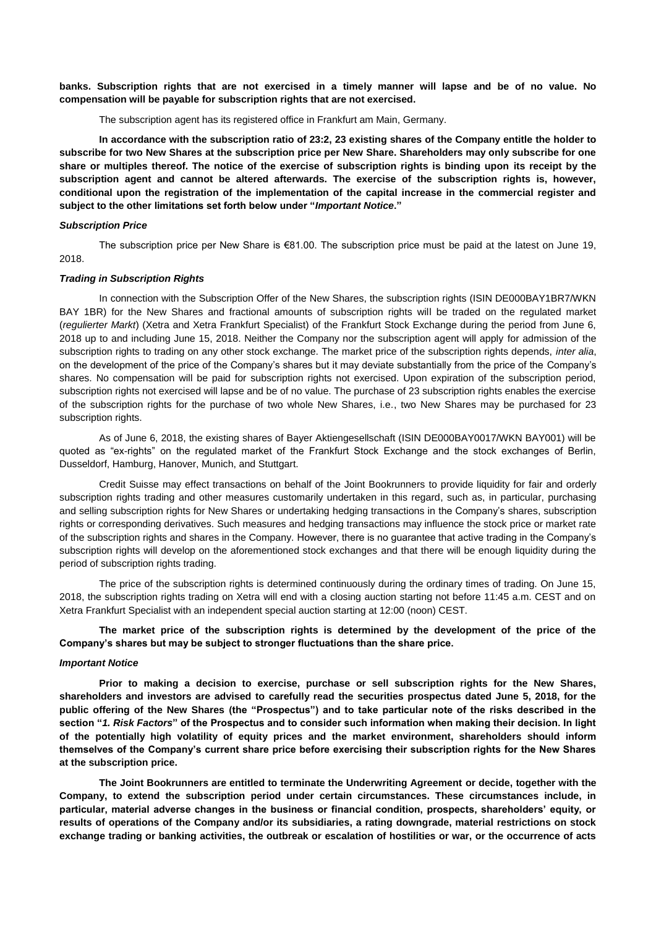**banks. Subscription rights that are not exercised in a timely manner will lapse and be of no value. No compensation will be payable for subscription rights that are not exercised.**

The subscription agent has its registered office in Frankfurt am Main, Germany.

**In accordance with the subscription ratio of 23:2, 23 existing shares of the Company entitle the holder to subscribe for two New Shares at the subscription price per New Share. Shareholders may only subscribe for one share or multiples thereof. The notice of the exercise of subscription rights is binding upon its receipt by the subscription agent and cannot be altered afterwards. The exercise of the subscription rights is, however, conditional upon the registration of the implementation of the capital increase in the commercial register and subject to the other limitations set forth below under "***[Important Notice](#page-1-0)***."**

# *Subscription Price*

The subscription price per New Share is €81.00. The subscription price must be paid at the latest on June 19, 2018.

# *Trading in Subscription Rights*

In connection with the Subscription Offer of the New Shares, the subscription rights (ISIN DE000BAY1BR7/WKN BAY 1BR) for the New Shares and fractional amounts of subscription rights will be traded on the regulated market (*regulierter Markt*) (Xetra and Xetra Frankfurt Specialist) of the Frankfurt Stock Exchange during the period from June 6, 2018 up to and including June 15, 2018. Neither the Company nor the subscription agent will apply for admission of the subscription rights to trading on any other stock exchange. The market price of the subscription rights depends, *inter alia*, on the development of the price of the Company's shares but it may deviate substantially from the price of the Company's shares. No compensation will be paid for subscription rights not exercised. Upon expiration of the subscription period, subscription rights not exercised will lapse and be of no value. The purchase of 23 subscription rights enables the exercise of the subscription rights for the purchase of two whole New Shares, i.e*.*, two New Shares may be purchased for 23 subscription rights.

As of June 6, 2018, the existing shares of Bayer Aktiengesellschaft (ISIN DE000BAY0017/WKN BAY001) will be quoted as "ex-rights" on the regulated market of the Frankfurt Stock Exchange and the stock exchanges of Berlin, Dusseldorf, Hamburg, Hanover, Munich, and Stuttgart.

Credit Suisse may effect transactions on behalf of the Joint Bookrunners to provide liquidity for fair and orderly subscription rights trading and other measures customarily undertaken in this regard, such as, in particular, purchasing and selling subscription rights for New Shares or undertaking hedging transactions in the Company's shares, subscription rights or corresponding derivatives. Such measures and hedging transactions may influence the stock price or market rate of the subscription rights and shares in the Company. However, there is no guarantee that active trading in the Company's subscription rights will develop on the aforementioned stock exchanges and that there will be enough liquidity during the period of subscription rights trading.

The price of the subscription rights is determined continuously during the ordinary times of trading. On June 15, 2018, the subscription rights trading on Xetra will end with a closing auction starting not before 11:45 a.m. CEST and on Xetra Frankfurt Specialist with an independent special auction starting at 12:00 (noon) CEST.

**The market price of the subscription rights is determined by the development of the price of the Company's shares but may be subject to stronger fluctuations than the share price.**

### <span id="page-1-0"></span>*Important Notice*

**Prior to making a decision to exercise, purchase or sell subscription rights for the New Shares, shareholders and investors are advised to carefully read the securities prospectus dated June 5, 2018, for the public offering of the New Shares (the "Prospectus") and to take particular note of the risks described in the section "***1. Risk Factors***" of the Prospectus and to consider such information when making their decision. In light of the potentially high volatility of equity prices and the market environment, shareholders should inform themselves of the Company's current share price before exercising their subscription rights for the New Shares at the subscription price.**

**The Joint Bookrunners are entitled to terminate the Underwriting Agreement or decide, together with the Company, to extend the subscription period under certain circumstances. These circumstances include, in particular, material adverse changes in the business or financial condition, prospects, shareholders' equity, or results of operations of the Company and/or its subsidiaries, a rating downgrade, material restrictions on stock exchange trading or banking activities, the outbreak or escalation of hostilities or war, or the occurrence of acts**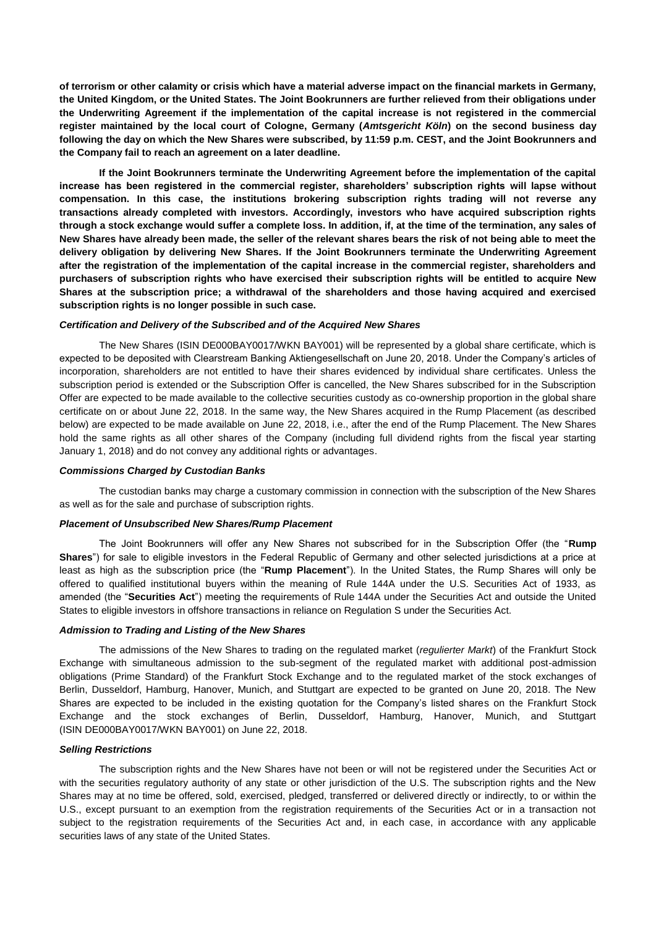**of terrorism or other calamity or crisis which have a material adverse impact on the financial markets in Germany, the United Kingdom, or the United States. The Joint Bookrunners are further relieved from their obligations under the Underwriting Agreement if the implementation of the capital increase is not registered in the commercial register maintained by the local court of Cologne, Germany (***Amtsgericht Köln***) on the second business day following the day on which the New Shares were subscribed, by 11:59 p.m. CEST, and the Joint Bookrunners and the Company fail to reach an agreement on a later deadline.**

**If the Joint Bookrunners terminate the Underwriting Agreement before the implementation of the capital increase has been registered in the commercial register, shareholders' subscription rights will lapse without compensation. In this case, the institutions brokering subscription rights trading will not reverse any transactions already completed with investors. Accordingly, investors who have acquired subscription rights through a stock exchange would suffer a complete loss. In addition, if, at the time of the termination, any sales of New Shares have already been made, the seller of the relevant shares bears the risk of not being able to meet the delivery obligation by delivering New Shares. If the Joint Bookrunners terminate the Underwriting Agreement after the registration of the implementation of the capital increase in the commercial register, shareholders and purchasers of subscription rights who have exercised their subscription rights will be entitled to acquire New Shares at the subscription price; a withdrawal of the shareholders and those having acquired and exercised subscription rights is no longer possible in such case.**

## *Certification and Delivery of the Subscribed and of the Acquired New Shares*

The New Shares (ISIN DE000BAY0017/WKN BAY001) will be represented by a global share certificate, which is expected to be deposited with Clearstream Banking Aktiengesellschaft on June 20, 2018. Under the Company's articles of incorporation, shareholders are not entitled to have their shares evidenced by individual share certificates. Unless the subscription period is extended or the Subscription Offer is cancelled, the New Shares subscribed for in the Subscription Offer are expected to be made available to the collective securities custody as co-ownership proportion in the global share certificate on or about June 22, 2018. In the same way, the New Shares acquired in the Rump Placement (as described below) are expected to be made available on June 22, 2018, i.e., after the end of the Rump Placement. The New Shares hold the same rights as all other shares of the Company (including full dividend rights from the fiscal year starting January 1, 2018) and do not convey any additional rights or advantages.

#### *Commissions Charged by Custodian Banks*

The custodian banks may charge a customary commission in connection with the subscription of the New Shares as well as for the sale and purchase of subscription rights.

## *Placement of Unsubscribed New Shares/Rump Placement*

The Joint Bookrunners will offer any New Shares not subscribed for in the Subscription Offer (the "**Rump Shares**") for sale to eligible investors in the Federal Republic of Germany and other selected jurisdictions at a price at least as high as the subscription price (the "**Rump Placement**"). In the United States, the Rump Shares will only be offered to qualified institutional buyers within the meaning of Rule 144A under the U.S. Securities Act of 1933, as amended (the "**Securities Act**") meeting the requirements of Rule 144A under the Securities Act and outside the United States to eligible investors in offshore transactions in reliance on Regulation S under the Securities Act.

### *Admission to Trading and Listing of the New Shares*

The admissions of the New Shares to trading on the regulated market (*regulierter Markt*) of the Frankfurt Stock Exchange with simultaneous admission to the sub-segment of the regulated market with additional post-admission obligations (Prime Standard) of the Frankfurt Stock Exchange and to the regulated market of the stock exchanges of Berlin, Dusseldorf, Hamburg, Hanover, Munich, and Stuttgart are expected to be granted on June 20, 2018. The New Shares are expected to be included in the existing quotation for the Company's listed shares on the Frankfurt Stock Exchange and the stock exchanges of Berlin, Dusseldorf, Hamburg, Hanover, Munich, and Stuttgart (ISIN DE000BAY0017/WKN BAY001) on June 22, 2018.

### *Selling Restrictions*

The subscription rights and the New Shares have not been or will not be registered under the Securities Act or with the securities regulatory authority of any state or other jurisdiction of the U.S. The subscription rights and the New Shares may at no time be offered, sold, exercised, pledged, transferred or delivered directly or indirectly, to or within the U.S., except pursuant to an exemption from the registration requirements of the Securities Act or in a transaction not subject to the registration requirements of the Securities Act and, in each case, in accordance with any applicable securities laws of any state of the United States.